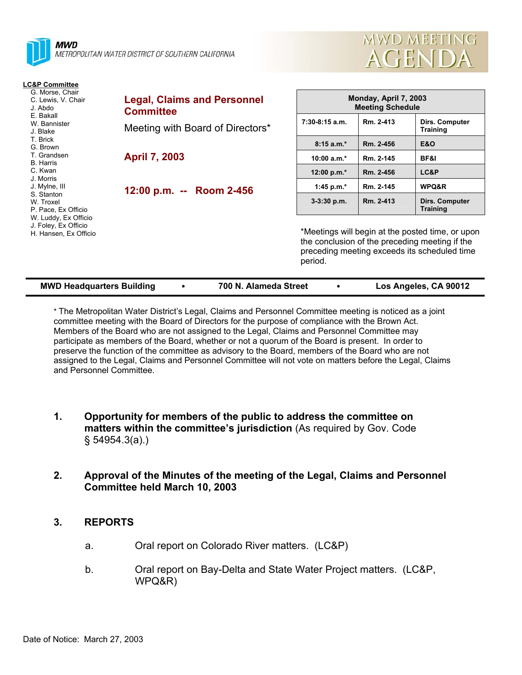



| <b>LC&amp;P Committee</b>                                             |                                                        |                                                                                                                                                               |           |                                   |  |
|-----------------------------------------------------------------------|--------------------------------------------------------|---------------------------------------------------------------------------------------------------------------------------------------------------------------|-----------|-----------------------------------|--|
| G. Morse, Chair<br>C. Lewis, V. Chair<br>J. Abdo                      | <b>Legal, Claims and Personnel</b><br><b>Committee</b> | Monday, April 7, 2003<br><b>Meeting Schedule</b>                                                                                                              |           |                                   |  |
| E. Bakall<br>W. Bannister<br>J. Blake                                 | Meeting with Board of Directors*                       | $7:30-8:15$ a.m.                                                                                                                                              | Rm. 2-413 | Dirs. Computer<br><b>Training</b> |  |
| T. Brick<br>G. Brown                                                  |                                                        | $8:15a.m.*$                                                                                                                                                   | Rm. 2-456 | <b>E&amp;O</b>                    |  |
| T. Grandsen<br><b>B.</b> Harris                                       | <b>April 7, 2003</b>                                   | 10:00 $a.m.*$                                                                                                                                                 | Rm. 2-145 | BF&I                              |  |
| C. Kwan                                                               |                                                        | 12:00 p.m. $*$                                                                                                                                                | Rm. 2-456 | LC&P                              |  |
| J. Morris<br>J. Mylne, III<br>S. Stanton                              | 12:00 p.m. -- Room 2-456                               | 1:45 p.m. $*$                                                                                                                                                 | Rm. 2-145 | WPQ&R                             |  |
| W. Troxel<br>P. Pace, Ex Officio                                      |                                                        | $3-3:30$ p.m.                                                                                                                                                 | Rm. 2-413 | Dirs. Computer<br><b>Training</b> |  |
| W. Luddy, Ex Officio<br>J. Foley, Ex Officio<br>H. Hansen, Ex Officio |                                                        | *Meetings will begin at the posted time, or upon<br>the conclusion of the preceding meeting if the<br>preceding meeting exceeds its scheduled time<br>period. |           |                                   |  |

| <b>MWD Headquarters Building</b> | 700 N. Alameda Street | Los Angeles, CA 90012 |
|----------------------------------|-----------------------|-----------------------|

\* The Metropolitan Water District's Legal, Claims and Personnel Committee meeting is noticed as a joint committee meeting with the Board of Directors for the purpose of compliance with the Brown Act. Members of the Board who are not assigned to the Legal, Claims and Personnel Committee may participate as members of the Board, whether or not a quorum of the Board is present. In order to preserve the function of the committee as advisory to the Board, members of the Board who are not assigned to the Legal, Claims and Personnel Committee will not vote on matters before the Legal, Claims and Personnel Committee.

- **1. Opportunity for members of the public to address the committee on matters within the committee's jurisdiction** (As required by Gov. Code § 54954.3(a).)
- **2. Approval of the Minutes of the meeting of the Legal, Claims and Personnel Committee held March 10, 2003**

# **3. REPORTS**

- a. Oral report on Colorado River matters. (LC&P)
- b. Oral report on Bay-Delta and State Water Project matters. (LC&P, WPQ&R)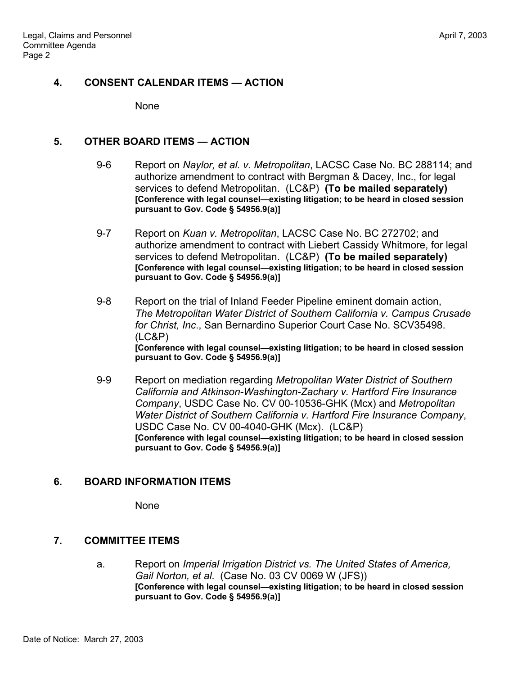#### **4. CONSENT CALENDAR ITEMS — ACTION**

None

#### **5. OTHER BOARD ITEMS — ACTION**

- 9-6 Report on *Naylor, et al. v. Metropolitan*, LACSC Case No. BC 288114; and authorize amendment to contract with Bergman & Dacey, Inc., for legal services to defend Metropolitan. (LC&P) **(To be mailed separately) [Conference with legal counsel—existing litigation; to be heard in closed session pursuant to Gov. Code § 54956.9(a)]**
- 9-7 Report on *Kuan v. Metropolitan*, LACSC Case No. BC 272702; and authorize amendment to contract with Liebert Cassidy Whitmore, for legal services to defend Metropolitan. (LC&P) **(To be mailed separately) [Conference with legal counsel—existing litigation; to be heard in closed session pursuant to Gov. Code § 54956.9(a)]**
- 9-8 Report on the trial of Inland Feeder Pipeline eminent domain action, *The Metropolitan Water District of Southern California v. Campus Crusade for Christ, Inc*., San Bernardino Superior Court Case No. SCV35498. (LC&P) **[Conference with legal counsel—existing litigation; to be heard in closed session pursuant to Gov. Code § 54956.9(a)]**
- 9-9 Report on mediation regarding *Metropolitan Water District of Southern California and Atkinson-Washington-Zachary v. Hartford Fire Insurance Company*, USDC Case No. CV 00-10536-GHK (Mcx) and *Metropolitan Water District of Southern California v. Hartford Fire Insurance Company*, USDC Case No. CV 00-4040-GHK (Mcx). (LC&P) **[Conference with legal counsel—existing litigation; to be heard in closed session pursuant to Gov. Code § 54956.9(a)]**

# **6. BOARD INFORMATION ITEMS**

None

# **7. COMMITTEE ITEMS**

a. Report on *Imperial Irrigation District vs. The United States of America, Gail Norton, et al*. (Case No. 03 CV 0069 W (JFS)) **[Conference with legal counsel—existing litigation; to be heard in closed session pursuant to Gov. Code § 54956.9(a)]**